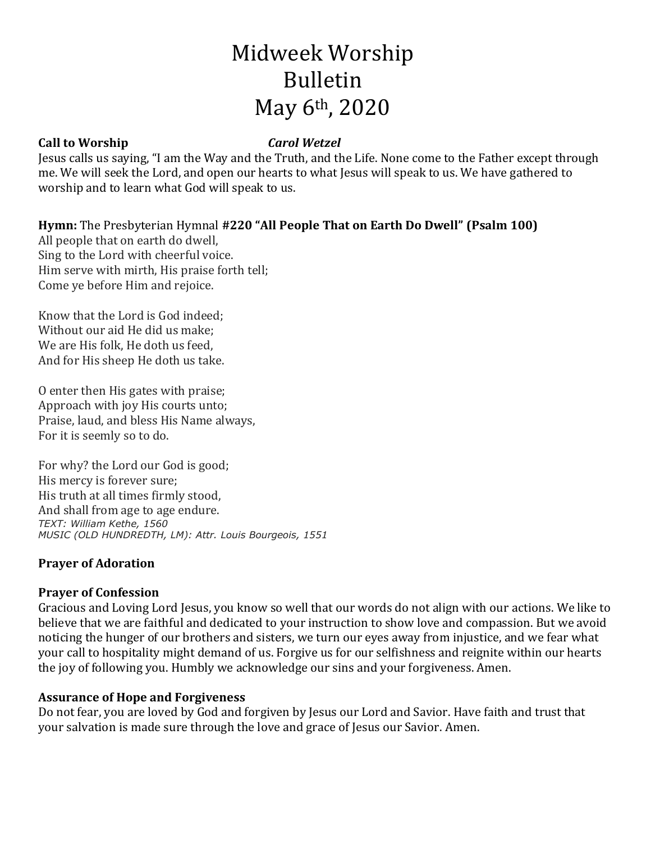# Midweek Worship Bulletin May 6th, 2020

# **Call to Worship** *Carol Wetzel*

Jesus calls us saying, "I am the Way and the Truth, and the Life. None come to the Father except through me. We will seek the Lord, and open our hearts to what Jesus will speak to us. We have gathered to worship and to learn what God will speak to us.

# **Hymn:** The Presbyterian Hymnal **#220 "All People That on Earth Do Dwell" (Psalm 100)**

All people that on earth do dwell, Sing to the Lord with cheerful voice. Him serve with mirth, His praise forth tell; Come ye before Him and rejoice.

Know that the Lord is God indeed; Without our aid He did us make; We are His folk, He doth us feed, And for His sheep He doth us take.

O enter then His gates with praise; Approach with joy His courts unto; Praise, laud, and bless His Name always, For it is seemly so to do.

For why? the Lord our God is good; His mercy is forever sure; His truth at all times firmly stood, And shall from age to age endure. *TEXT: William Kethe, 1560 MUSIC (OLD HUNDREDTH, LM): Attr. Louis Bourgeois, 1551*

# **Prayer of Adoration**

# **Prayer of Confession**

Gracious and Loving Lord Jesus, you know so well that our words do not align with our actions. We like to believe that we are faithful and dedicated to your instruction to show love and compassion. But we avoid noticing the hunger of our brothers and sisters, we turn our eyes away from injustice, and we fear what your call to hospitality might demand of us. Forgive us for our selfishness and reignite within our hearts the joy of following you. Humbly we acknowledge our sins and your forgiveness. Amen.

# **Assurance of Hope and Forgiveness**

Do not fear, you are loved by God and forgiven by Jesus our Lord and Savior. Have faith and trust that your salvation is made sure through the love and grace of Jesus our Savior. Amen.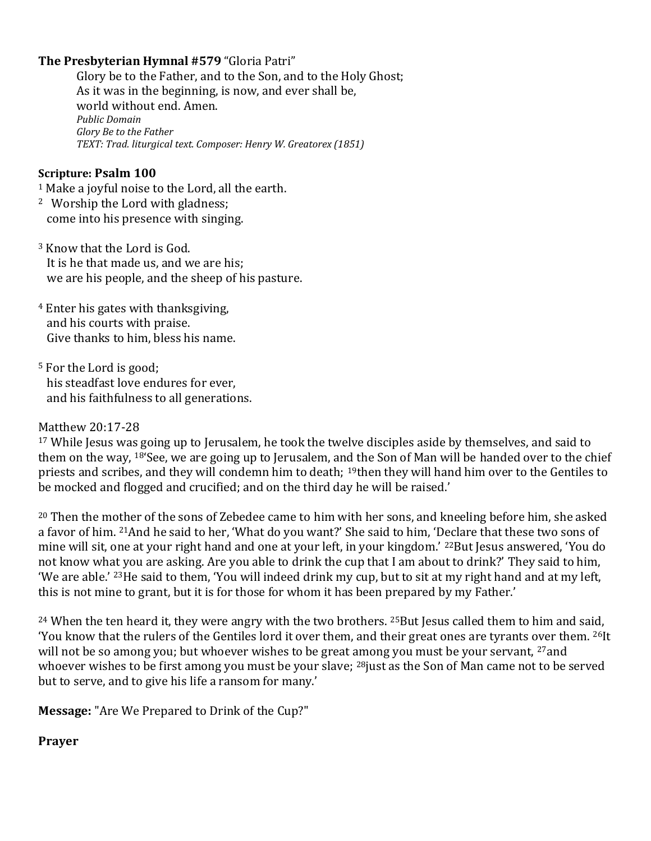# **The Presbyterian Hymnal #579**"Gloria Patri"

Glory be to the Father, and to the Son, and to the Holy Ghost;     As it was in the beginning, is now, and ever shall be,     world without end. Amen.     *Public Domain Glory Be to the Father TEXT: Trad. liturgical text. Composer: Henry W. Greatorex (1851)*   

#### **Scripture: Psalm 100**

<sup>1</sup> Make a joyful noise to the Lord, all the earth.

- <sup>2</sup> Worship the Lord with gladness; come into his presence with singing.
- <sup>3</sup> Know that the Lord is God. It is he that made us, and we are his; we are his people, and the sheep of his pasture.
- <sup>4</sup> Enter his gates with thanksgiving, and his courts with praise. Give thanks to him, bless his name.
- <sup>5</sup> For the Lord is good; his steadfast love endures for ever, and his faithfulness to all generations.

#### Matthew 20:17-28

<sup>17</sup> While Jesus was going up to Jerusalem, he took the twelve disciples aside by themselves, and said to them on the way, <sup>18'</sup>See, we are going up to Jerusalem, and the Son of Man will be handed over to the chief priests and scribes, and they will condemn him to death; <sup>19</sup>then they will hand him over to the Gentiles to be mocked and flogged and crucified; and on the third day he will be raised.'

<sup>20</sup> Then the mother of the sons of Zebedee came to him with her sons, and kneeling before him, she asked a favor of him. <sup>21</sup>And he said to her, 'What do you want?' She said to him, 'Declare that these two sons of mine will sit, one at your right hand and one at your left, in your kingdom.' <sup>22</sup>But Jesus answered, 'You do not know what you are asking. Are you able to drink the cup that I am about to drink?' They said to him, 'We are able.' <sup>23</sup>He said to them, 'You will indeed drink my cup, but to sit at my right hand and at my left, this is not mine to grant, but it is for those for whom it has been prepared by my Father.'

<sup>24</sup> When the ten heard it, they were angry with the two brothers. <sup>25</sup>But Jesus called them to him and said, 'You know that the rulers of the Gentiles lord it over them, and their great ones are tyrants over them. <sup>26</sup>It will not be so among you; but whoever wishes to be great among you must be your servant, <sup>27</sup>and whoever wishes to be first among you must be your slave; <sup>28</sup>just as the Son of Man came not to be served but to serve, and to give his life a ransom for many.'

**Message:** "Are We Prepared to Drink of the Cup?"

**Prayer**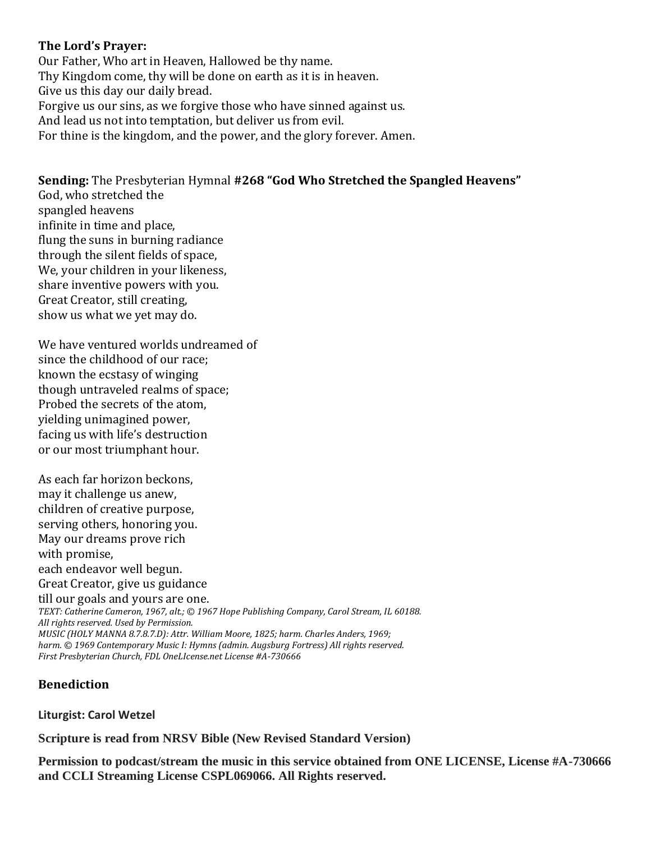### **The Lord's Prayer:**

Our Father, Who art in Heaven, Hallowed be thy name.    Thy Kingdom come, thy will be done on earth as it is in heaven.   Give us this day our daily bread.    Forgive us our sins, as we forgive those who have sinned against us.   And lead us not into temptation, but deliver us from evil.   For thine is the kingdom, and the power, and the glory forever. Amen.  

**Sending:** The Presbyterian Hymnal **#268 "God Who Stretched the Spangled Heavens"** God, who stretched the spangled heavens infinite in time and place, flung the suns in burning radiance through the silent fields of space, We, your children in your likeness, share inventive powers with you. Great Creator, still creating, show us what we yet may do.

We have ventured worlds undreamed of since the childhood of our race; known the ecstasy of winging though untraveled realms of space; Probed the secrets of the atom, yielding unimagined power, facing us with life's destruction or our most triumphant hour.

As each far horizon beckons, may it challenge us anew, children of creative purpose, serving others, honoring you. May our dreams prove rich with promise, each endeavor well begun. Great Creator, give us guidance till our goals and yours are one. *TEXT: Catherine Cameron, 1967, alt.; © 1967 Hope Publishing Company, Carol Stream, IL 60188. All rights reserved. Used by Permission. MUSIC (HOLY MANNA 8.7.8.7.D): Attr. William Moore, 1825; harm. Charles Anders, 1969; harm. © 1969 Contemporary Music I: Hymns (admin. Augsburg Fortress) All rights reserved.*

*First Presbyterian Church, FDL OneLIcense.net License #A-730666*

### **Benediction**

**Liturgist: Carol Wetzel**

**Scripture is read from NRSV Bible (New Revised Standard Version)**

**Permission to podcast/stream the music in this service obtained from ONE LICENSE, License #A-730666 and CCLI Streaming License CSPL069066. All Rights reserved.**